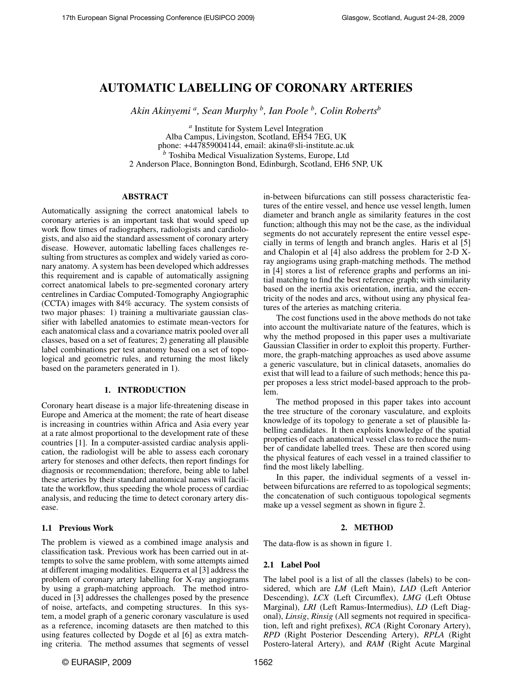# AUTOMATIC LABELLING OF CORONARY ARTERIES

*Akin Akinyemi <sup>a</sup> , Sean Murphy <sup>b</sup> , Ian Poole <sup>b</sup> , Colin Roberts<sup>b</sup>*

*a* Institute for System Level Integration Alba Campus, Livingston, Scotland, EH54 7EG, UK phone: +447859004144, email: akina@sli-institute.ac.uk *<sup>b</sup>* Toshiba Medical Visualization Systems, Europe, Ltd 2 Anderson Place, Bonnington Bond, Edinburgh, Scotland, EH6 5NP, UK

# ABSTRACT

Automatically assigning the correct anatomical labels to coronary arteries is an important task that would speed up work flow times of radiographers, radiologists and cardiologists, and also aid the standard assessment of coronary artery disease. However, automatic labelling faces challenges resulting from structures as complex and widely varied as coronary anatomy. A system has been developed which addresses this requirement and is capable of automatically assigning correct anatomical labels to pre-segmented coronary artery centrelines in Cardiac Computed-Tomography Angiographic (CCTA) images with 84% accuracy. The system consists of two major phases: 1) training a multivariate gaussian classifier with labelled anatomies to estimate mean-vectors for each anatomical class and a covariance matrix pooled over all classes, based on a set of features; 2) generating all plausible label combinations per test anatomy based on a set of topological and geometric rules, and returning the most likely based on the parameters generated in 1).

# 1. INTRODUCTION

Coronary heart disease is a major life-threatening disease in Europe and America at the moment; the rate of heart disease is increasing in countries within Africa and Asia every year at a rate almost proportional to the development rate of these countries [1]. In a computer-assisted cardiac analysis application, the radiologist will be able to assess each coronary artery for stenoses and other defects, then report findings for diagnosis or recommendation; therefore, being able to label these arteries by their standard anatomical names will facilitate the workflow, thus speeding the whole process of cardiac analysis, and reducing the time to detect coronary artery disease.

# 1.1 Previous Work

The problem is viewed as a combined image analysis and classification task. Previous work has been carried out in attempts to solve the same problem, with some attempts aimed at different imaging modalities. Ezquerra et al [3] address the problem of coronary artery labelling for X-ray angiograms by using a graph-matching approach. The method introduced in [3] addresses the challenges posed by the presence of noise, artefacts, and competing structures. In this system, a model graph of a generic coronary vasculature is used as a reference, incoming datasets are then matched to this using features collected by Dogde et al [6] as extra matching criteria. The method assumes that segments of vessel

in-between bifurcations can still possess characteristic features of the entire vessel, and hence use vessel length, lumen diameter and branch angle as similarity features in the cost function; although this may not be the case, as the individual segments do not accurately represent the entire vessel especially in terms of length and branch angles. Haris et al [5] and Chalopin et al [4] also address the problem for 2-D Xray angiograms using graph-matching methods. The method in [4] stores a list of reference graphs and performs an initial matching to find the best reference graph; with similarity based on the inertia axis orientation, inertia, and the eccentricity of the nodes and arcs, without using any physical features of the arteries as matching criteria.

The cost functions used in the above methods do not take into account the multivariate nature of the features, which is why the method proposed in this paper uses a multivariate Gaussian Classifier in order to exploit this property. Furthermore, the graph-matching approaches as used above assume a generic vasculature, but in clinical datasets, anomalies do exist that will lead to a failure of such methods; hence this paper proposes a less strict model-based approach to the problem.

The method proposed in this paper takes into account the tree structure of the coronary vasculature, and exploits knowledge of its topology to generate a set of plausible labelling candidates. It then exploits knowledge of the spatial properties of each anatomical vessel class to reduce the number of candidate labelled trees. These are then scored using the physical features of each vessel in a trained classifier to find the most likely labelling.

In this paper, the individual segments of a vessel inbetween bifurcations are referred to as topological segments; the concatenation of such contiguous topological segments make up a vessel segment as shown in figure 2.

# 2. METHOD

The data-flow is as shown in figure 1.

# 2.1 Label Pool

The label pool is a list of all the classes (labels) to be considered, which are *LM* (Left Main), *LAD* (Left Anterior Descending), *LCX* (Left Circumflex), *LMG* (Left Obtuse Marginal), *LRI* (Left Ramus-Intermedius), *LD* (Left Diagonal), *Linsig*, *Rinsig* (All segments not required in specification, left and right prefixes), *RCA* (Right Coronary Artery), *RPD* (Right Posterior Descending Artery), *RPLA* (Right Postero-lateral Artery), and *RAM* (Right Acute Marginal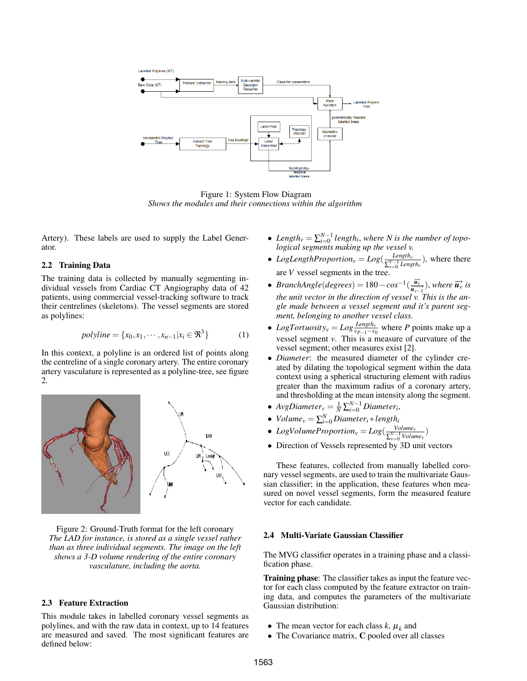

Figure 1: System Flow Diagram *Shows the modules and their connections within the algorithm*

Artery). These labels are used to supply the Label Generator.

# 2.2 Training Data

The training data is collected by manually segmenting individual vessels from Cardiac CT Angiography data of 42 patients, using commercial vessel-tracking software to track their centrelines (skeletons). The vessel segments are stored as polylines:

$$
polyline = \{x_0, x_1, \cdots, x_{n-1} | x_i \in \Re^3\}
$$
 (1)

In this context, a polyline is an ordered list of points along the centreline of a single coronary artery. The entire coronary artery vasculature is represented as a polyline-tree, see figure 2.



Figure 2: Ground-Truth format for the left coronary *The LAD for instance, is stored as a single vessel rather than as three individual segments. The image on the left shows a 3-D volume rendering of the entire coronary vasculature, including the aorta.*

## 2.3 Feature Extraction

This module takes in labelled coronary vessel segments as polylines, and with the raw data in context, up to 14 features are measured and saved. The most significant features are defined below:

- Length<sub>*v*</sub> =  $\sum_{i=0}^{N-1}$  length<sub>*i*</sub>, where N is the number of topo*logical segments making up the vessel v.*
- *LogLengthProportion<sub>v</sub>* =  $Log(\frac{Length_v}{\nabla^{V-1}Length_v})$  $\frac{Length_v}{\sum_{v=0}^{V-1} Length_v}$ , where there are *V* vessel segments in the tree.
- *BranchAngle*(*degrees*) = 180  $cos^{-1}(\frac{\vec{u}_v}{\vec{u}_{v-1}})$ , where  $\vec{u}_v$  is *the unit vector in the direction of vessel v. This is the angle made between a vessel segment and it's parent segment, belonging to another vessel class.*
- *LogTortuosity<sub>v</sub>* =  $Log \frac{Length_v}{vp_{-1} v_0}$  where *P* points make up a vessel segment *v*. This is a measure of curvature of the vessel segment; other measures exist [2].
- *Diameter*: the measured diameter of the cylinder created by dilating the topological segment within the data context using a spherical structuring element with radius greater than the maximum radius of a coronary artery, and thresholding at the mean intensity along the segment.
- $AvgDiameter_v = \frac{1}{N} \sum_{i=0}^{N-1}Diameter_i$
- *Volume*<sub>*v*</sub> =  $\sum_{i=0}^{N}Diameter_i * length_i$
- *LogVolumeProportion<sub>v</sub>* =  $Log(\frac{Volume_v}{r^{V-1}Volume_v})$  $\frac{Volume_v}{\sum_{v=0}^{V-1} Volume_v}$
- Direction of Vessels represented by 3D unit vectors

These features, collected from manually labelled coronary vessel segments, are used to train the multivariate Gaussian classifier; in the application, these features when measured on novel vessel segments, form the measured feature vector for each candidate.

## 2.4 Multi-Variate Gaussian Classifier

The MVG classifier operates in a training phase and a classification phase.

**Training phase:** The classifier takes as input the feature vector for each class computed by the feature extractor on training data, and computes the parameters of the multivariate Gaussian distribution:

- The mean vector for each class  $k$ ,  $\mu_k$  and
- The Covariance matrix, C pooled over all classes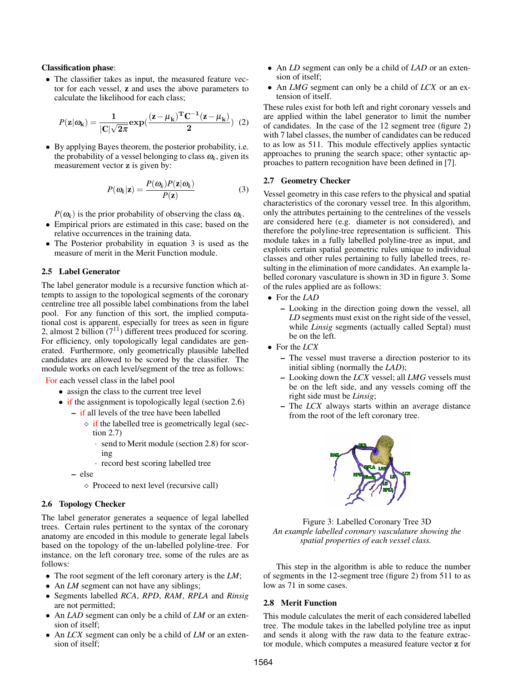#### Classification phase:

• The classifier takes as input, the measured feature vector for each vessel, z and uses the above parameters to calculate the likelihood for each class;

$$
P(\mathbf{z}|\omega_{\mathbf{k}}) = \frac{1}{|\mathbf{C}|\sqrt{2\pi}} \exp(\frac{(\mathbf{z} - \mu_{\mathbf{k}})^{\mathrm{T}} \mathbf{C}^{-1} (\mathbf{z} - \mu_{\mathbf{k}})}{2}) \tag{2}
$$

• By applying Bayes theorem, the posterior probability, i.e. the probability of a vessel belonging to class  $\omega_k$ , given its measurement vector z is given by:

$$
P(\omega_k|\mathbf{z}) = \frac{P(\omega_k)P(\mathbf{z}|\omega_k)}{P(\mathbf{z})}
$$
(3)

 $P(\omega_k)$  is the prior probability of observing the class  $\omega_k$ .

- Empirical priors are estimated in this case; based on the relative occurrences in the training data.
- The Posterior probability in equation 3 is used as the measure of merit in the Merit Function module.

## 2.5 Label Generator

The label generator module is a recursive function which attempts to assign to the topological segments of the coronary centreline tree all possible label combinations from the label pool. For any function of this sort, the implied computational cost is apparent, especially for trees as seen in figure 2, almost 2 billion  $(7^{11})$  different trees produced for scoring. For efficiency, only topologically legal candidates are generated. Furthermore, only geometrically plausible labelled candidates are allowed to be scored by the classifier. The module works on each level/segment of the tree as follows:

For each vessel class in the label pool

- assign the class to the current tree level
- if the assignment is topologically legal (section 2.6)
	- if all levels of the tree have been labelled
		- $\Diamond$  if the labelled tree is geometrically legal (section 2.7)
			- send to Merit module (section 2.8) for scoring
			- · record best scoring labelled tree
	- else

 $\diamond$  Proceed to next level (recursive call)

# 2.6 Topology Checker

The label generator generates a sequence of legal labelled trees. Certain rules pertinent to the syntax of the coronary anatomy are encoded in this module to generate legal labels based on the topology of the un-labelled polyline-tree. For instance, on the left coronary tree, some of the rules are as follows:

- The root segment of the left coronary artery is the *LM*;
- An *LM* segment can not have any siblings;
- Segments labelled *RCA*, *RPD*, *RAM*, *RPLA* and *Rinsig* are not permitted;
- An *LAD* segment can only be a child of *LM* or an extension of itself;
- An *LCX* segment can only be a child of *LM* or an extension of itself;
- An *LD* segment can only be a child of *LAD* or an extension of itself;
- An *LMG* segment can only be a child of *LCX* or an extension of itself.

These rules exist for both left and right coronary vessels and are applied within the label generator to limit the number of candidates. In the case of the 12 segment tree (figure 2) with 7 label classes, the number of candidates can be reduced to as low as 511. This module effectively applies syntactic approaches to pruning the search space; other syntactic approaches to pattern recognition have been defined in [7].

## 2.7 Geometry Checker

Vessel geometry in this case refers to the physical and spatial characteristics of the coronary vessel tree. In this algorithm, only the attributes pertaining to the centrelines of the vessels are considered here (e.g. diameter is not considered), and therefore the polyline-tree representation is sufficient. This module takes in a fully labelled polyline-tree as input, and exploits certain spatial geometric rules unique to individual classes and other rules pertaining to fully labelled trees, resulting in the elimination of more candidates. An example labelled coronary vasculature is shown in 3D in figure 3. Some of the rules applied are as follows:

- For the *LAD*
	- Looking in the direction going down the vessel, all *LD* segments must exist on the right side of the vessel, while *Linsig* segments (actually called Septal) must be on the left.
- For the *LCX*
	- The vessel must traverse a direction posterior to its initial sibling (normally the *LAD*);
	- Looking down the *LCX* vessel; all *LMG* vessels must be on the left side, and any vessels coming off the right side must be *Linsig*;
	- The *LCX* always starts within an average distance from the root of the left coronary tree.



Figure 3: Labelled Coronary Tree 3D *An example labelled coronary vasculature showing the spatial properties of each vessel class.*

This step in the algorithm is able to reduce the number of segments in the 12-segment tree (figure 2) from 511 to as low as 71 in some cases.

#### 2.8 Merit Function

This module calculates the merit of each considered labelled tree. The module takes in the labelled polyline tree as input and sends it along with the raw data to the feature extractor module, which computes a measured feature vector z for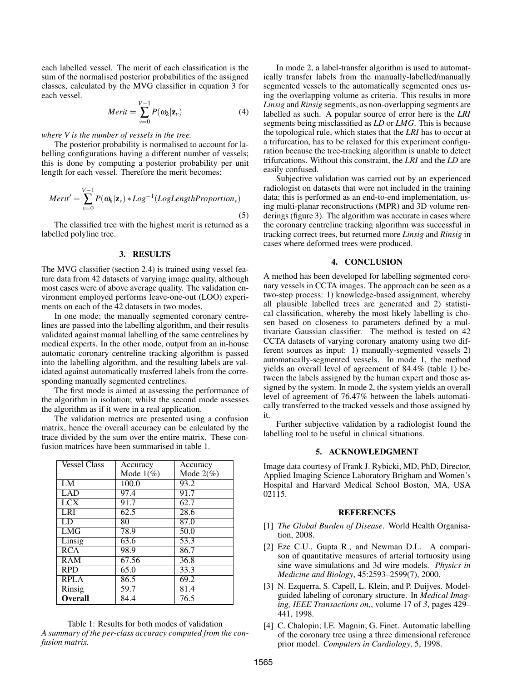each labelled vessel. The merit of each classification is the sum of the normalised posterior probabilities of the assigned classes, calculated by the MVG classifier in equation 3 for each vessel.

$$
Merit = \sum_{\nu=0}^{V-1} P(\omega_k | \mathbf{z}_{\nu})
$$
 (4)

*where V is the number of vessels in the tree.*

The posterior probability is normalised to account for labelling configurations having a different number of vessels; this is done by computing a posterior probability per unit length for each vessel. Therefore the merit becomes:

$$
Merit' = \sum_{v=0}^{V-1} P(\omega_k | \mathbf{z}_v) * Log^{-1}(LogLengthProportion_v)
$$
\n(5)

The classified tree with the highest merit is returned as a labelled polyline tree.

## 3. RESULTS

The MVG classifier (section 2.4) is trained using vessel feature data from 42 datasets of varying image quality, although most cases were of above average quality. The validation environment employed performs leave-one-out (LOO) experiments on each of the 42 datasets in two modes.

In one mode; the manually segmented coronary centrelines are passed into the labelling algorithm, and their results validated against manual labelling of the same centrelines by medical experts. In the other mode, output from an in-house automatic coronary centreline tracking algorithm is passed into the labelling algorithm, and the resulting labels are validated against automatically trasferred labels from the corresponding manually segmented centrelines.

The first mode is aimed at assessing the performance of the algorithm in isolation; whilst the second mode assesses the algorithm as if it were in a real application.

The validation metrics are presented using a confusion matrix, hence the overall accuracy can be calculated by the trace divided by the sum over the entire matrix. These confusion matrices have been summarised in table 1.

| <b>Vessel Class</b> | Accuracy     | Accuracy          |
|---------------------|--------------|-------------------|
|                     | Mode $1(\%)$ | Mode $2(\%)$      |
| LM                  | 100.0        | 93.2              |
| LAD                 | 97.4         | 91.7              |
| LCX                 | 91.7         | 62.7              |
| LRI                 | 62.5         | 28.6              |
| LD                  | 80           | 87.0              |
| <b>LMG</b>          | 78.9         | 50.0              |
| Linsig              | 63.6         | $\overline{53.3}$ |
| RCA                 | 98.9         | 86.7              |
| RAM                 | 67.56        | 36.8              |
| <b>RPD</b>          | 65.0         | 33.3              |
| <b>RPLA</b>         | 86.5         | 69.2              |
| Rinsig              | 59.7         | 81.4              |
| <b>Overall</b>      | 84.4         | 76.5              |

Table 1: Results for both modes of validation *A summary of the per-class accuracy computed from the confusion matrix.*

In mode 2, a label-transfer algorithm is used to automatically transfer labels from the manually-labelled/manually segmented vessels to the automatically segmented ones using the overlapping volume as criteria. This results in more *Linsig* and *Rinsig* segments, as non-overlapping segments are labelled as such. A popular source of error here is the *LRI* segments being misclassified as *LD* or *LMG*. This is because the topological rule, which states that the *LRI* has to occur at a trifurcation, has to be relaxed for this experiment configuration because the tree-tracking algorithm is unable to detect trifurcations. Without this constraint, the *LRI* and the *LD* are easily confused.

Subjective validation was carried out by an experienced radiologist on datasets that were not included in the training data; this is performed as an end-to-end implementation, using multi-planar reconstructions (MPR) and 3D volume renderings (figure 3). The algorithm was accurate in cases where the coronary centreline tracking algorithm was successful in tracking correct trees, but returned more *Linsig* and *Rinsig* in cases where deformed trees were produced.

#### 4. CONCLUSION

A method has been developed for labelling segmented coronary vessels in CCTA images. The approach can be seen as a two-step process: 1) knowledge-based assignment, whereby all plausible labelled trees are generated and 2) statistical classification, whereby the most likely labelling is chosen based on closeness to parameters defined by a multivariate Gaussian classifier. The method is tested on 42 CCTA datasets of varying coronary anatomy using two different sources as input: 1) manually-segmented vessels 2) automatically-segmented vessels. In mode 1, the method yields an overall level of agreement of 84.4% (table 1) between the labels assigned by the human expert and those assigned by the system. In mode 2, the system yields an overall level of agreement of 76.47% between the labels automatically transferred to the tracked vessels and those assigned by it.

Further subjective validation by a radiologist found the labelling tool to be useful in clinical situations.

## 5. ACKNOWLEDGMENT

Image data courtesy of Frank J. Rybicki, MD, PhD, Director, Applied Imaging Science Laboratory Brigham and Women's Hospital and Harvard Medical School Boston, MA, USA 02115.

#### **REFERENCES**

- [1] *The Global Burden of Disease*. World Health Organisation, 2008.
- [2] Eze C.U., Gupta R., and Newman D.L. A comparison of quantitative measures of arterial tortuosity using sine wave simulations and 3d wire models. *Physics in Medicine and Biology*, 45:2593–2599(7), 2000.
- [3] N. Ezquerra, S. Capell, L. Klein, and P. Duijves. Modelguided labeling of coronary structure. In *Medical Imaging, IEEE Transactions on,*, volume 17 of *3*, pages 429– 441, 1998.
- [4] C. Chalopin; I.E. Magnin; G. Finet. Automatic labelling of the coronary tree using a three dimensional reference prior model. *Computers in Cardiology*, 5, 1998.